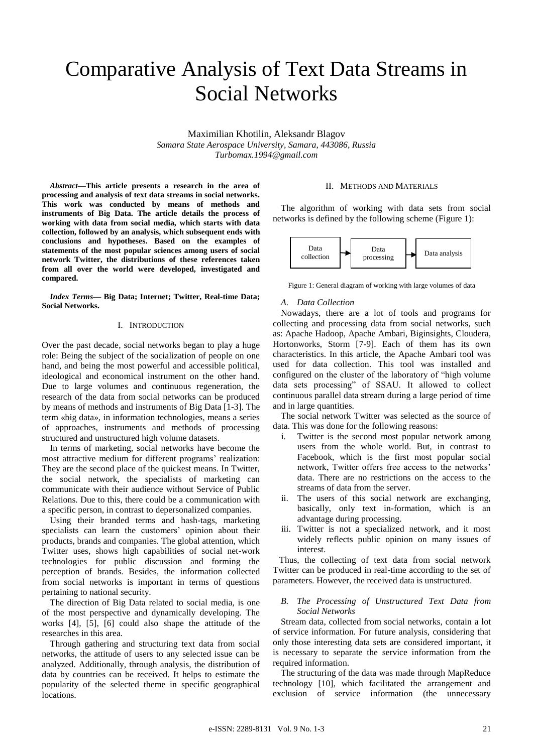# Comparative Analysis of Text Data Streams in Social Networks

Maximilian Khotilin, Aleksandr Blagov *Samara State Aerospace University, Samara, 443086, Russia Turbomax.1994@gmail.com*

*Abstract***—This article presents a research in the area of processing and analysis of text data streams in social networks. This work was conducted by means of methods and instruments of Big Data. The article details the process of working with data from social media, which starts with data collection, followed by an analysis, which subsequent ends with conclusions and hypotheses. Based on the examples of statements of the most popular sciences among users of social network Twitter, the distributions of these references taken from all over the world were developed, investigated and compared.**

*Index Terms***— Big Data; Internet; Twitter, Real-time Data; Social Networks.**

# I. INTRODUCTION

Over the past decade, social networks began to play a huge role: Being the subject of the socialization of people on one hand, and being the most powerful and accessible political, ideological and economical instrument on the other hand. Due to large volumes and continuous regeneration, the research of the data from social networks can be produced by means of methods and instruments of Big Data [1-3]. The term «big data», in information technologies, means a series of approaches, instruments and methods of processing structured and unstructured high volume datasets.

In terms of marketing, social networks have become the most attractive medium for different programs' realization: They are the second place of the quickest means. In Twitter, the social network, the specialists of marketing can communicate with their audience without Service of Public Relations. Due to this, there could be a communication with a specific person, in contrast to depersonalized companies.

Using their branded terms and hash-tags, marketing specialists can learn the customers' opinion about their products, brands and companies. The global attention, which Twitter uses, shows high capabilities of social net-work technologies for public discussion and forming the perception of brands. Besides, the information collected from social networks is important in terms of questions pertaining to national security.

The direction of Big Data related to social media, is one of the most perspective and dynamically developing. The works [4], [5], [6] could also shape the attitude of the researches in this area.

Through gathering and structuring text data from social networks, the attitude of users to any selected issue can be analyzed. Additionally, through analysis, the distribution of data by countries can be received. It helps to estimate the popularity of the selected theme in specific geographical locations.

#### II. METHODS AND MATERIALS

The algorithm of working with data sets from social networks is defined by the following scheme (Figure 1):



Figure 1: General diagram of working with large volumes of data

#### *A. Data Collection*

Nowadays, there are a lot of tools and programs for collecting and processing data from social networks, such as: Apache Hadoop, Apache Ambari, Biginsights, Cloudera, Hortonworks, Storm [7-9]. Each of them has its own characteristics. In this article, the Apache Ambari tool was used for data collection. This tool was installed and configured on the cluster of the laboratory of "high volume data sets processing" of SSAU. It allowed to collect continuous parallel data stream during a large period of time and in large quantities.

The social network Twitter was selected as the source of data. This was done for the following reasons:

- i. Twitter is the second most popular network among users from the whole world. But, in contrast to Facebook, which is the first most popular social network, Twitter offers free access to the networks' data. There are no restrictions on the access to the streams of data from the server.
- ii. The users of this social network are exchanging, basically, only text in-formation, which is an advantage during processing.
- iii. Twitter is not a specialized network, and it most widely reflects public opinion on many issues of interest.

Thus, the collecting of text data from social network Twitter can be produced in real-time according to the set of parameters. However, the received data is unstructured.

### *B. The Processing of Unstructured Text Data from Social Networks*

Stream data, collected from social networks, contain a lot of service information. For future analysis, considering that only those interesting data sets are considered important, it is necessary to separate the service information from the required information.

The structuring of the data was made through MapReduce technology [10], which facilitated the arrangement and exclusion of service information (the unnecessary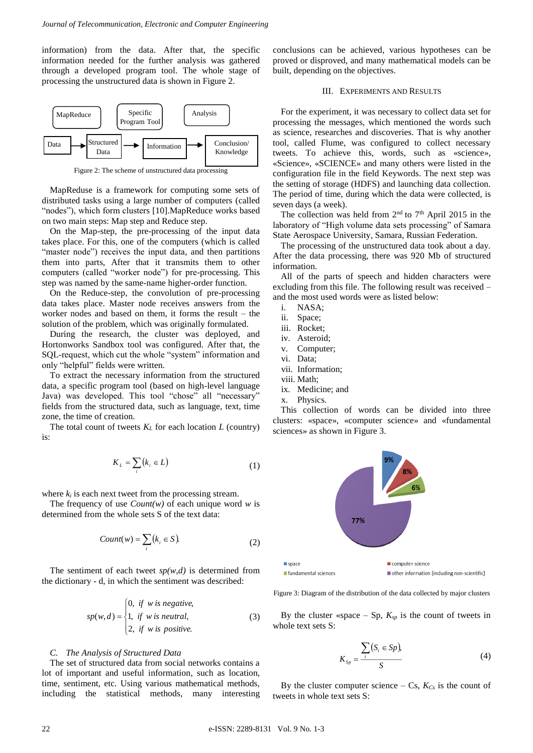information) from the data. After that, the specific information needed for the further analysis was gathered through a developed program tool. The whole stage of processing the unstructured data is shown in Figure 2.



Figure 2: The scheme of unstructured data processing

MapReduse is a framework for computing some sets of distributed tasks using a large number of computers (called "nodes"), which form clusters [10].MapReduce works based on two main steps: Map step and Reduce step.

On the Map-step, the pre-processing of the input data takes place. For this, one of the computers (which is called "master node") receives the input data, and then partitions them into parts, After that it transmits them to other computers (called "worker node") for pre-processing. This step was named by the same-name higher-order function.

On the Reduce-step, the convolution of pre-processing data takes place. Master node receives answers from the worker nodes and based on them, it forms the result – the solution of the problem, which was originally formulated.

During the research, the cluster was deployed, and Hortonworks Sandbox tool was configured. After that, the SQL-request, which cut the whole "system" information and only "helpful" fields were written.

To extract the necessary information from the structured data, a specific program tool (based on high-level language Java) was developed. This tool "chose" all "necessary" fields from the structured data, such as language, text, time zone, the time of creation.

The total count of tweets  $K_L$  for each location  $L$  (country) is:

$$
K_L = \sum_i (k_i \in L) \tag{1}
$$

where  $k_i$  is each next tweet from the processing stream.

The frequency of use *Count(w)* of each unique word *w* is determined from the whole sets S of the text data:

$$
Count(w) = \sum_{i} (k_i \in S).
$$
 (2)

The sentiment of each tweet  $sp(w,d)$  is determined from the dictionary - d, in which the sentiment was described:

$$
sp(w,d) = \begin{cases} 0, & \text{if } w \text{ is negative,} \\ 1, & \text{if } w \text{ is neutral,} \\ 2, & \text{if } w \text{ is positive.} \end{cases}
$$
(3)

#### *C. The Analysis of Structured Data*

The set of structured data from social networks contains a lot of important and useful information, such as location, time, sentiment, etc. Using various mathematical methods, including the statistical methods, many interesting conclusions can be achieved, various hypotheses can be proved or disproved, and many mathematical models can be built, depending on the objectives.

#### III. EXPERIMENTS AND RESULTS

For the experiment, it was necessary to collect data set for processing the messages, which mentioned the words such as science, researches and discoveries. That is why another tool, called Flume, was configured to collect necessary tweets. To achieve this, words, such as «science», «Science», «SCIENCE» and many others were listed in the configuration file in the field Keywords. The next step was the setting of storage (HDFS) and launching data collection. The period of time, during which the data were collected, is seven days (a week).

The collection was held from  $2<sup>nd</sup>$  to  $7<sup>th</sup>$  April 2015 in the laboratory of "High volume data sets processing" of Samara State Aerospace University, Samara, Russian Federation.

The processing of the unstructured data took about a day. After the data processing, there was 920 Mb of structured information.

All of the parts of speech and hidden characters were excluding from this file. The following result was received – and the most used words were as listed below:

- i. NASA;
- ii. Space;
- iii. Rocket;
- iv. Asteroid;
- v. Computer;
- vi. Data;
- vii. Information;
- viii. Math;
- ix. Medicine; and
- x. Physics.

This collection of words can be divided into three clusters: «space», «computer science» and «fundamental sciences» as shown in Figure 3.



Figure 3: Diagram of the distribution of the data collected by major clusters

By the cluster «space  $-$  Sp,  $K_{sp}$  is the count of tweets in whole text sets S:

$$
K_{Sp} = \frac{\sum_{i} (S_i \in Sp),}{S} \tag{4}
$$

By the cluster computer science – Cs,  $K_{Cs}$  is the count of tweets in whole text sets S: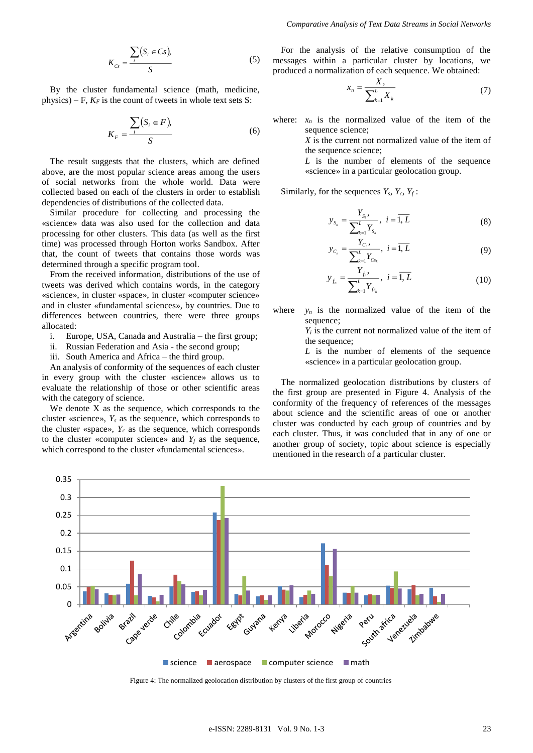$$
K_{Cs} = \frac{\sum_{i} (S_i \in Cs),}{S} \tag{5}
$$

By the cluster fundamental science (math, medicine, physics) – F,  $K_F$  is the count of tweets in whole text sets S:

$$
K_F = \frac{\sum_{i} (S_i \in F)}{S} \tag{6}
$$

The result suggests that the clusters, which are defined above, are the most popular science areas among the users of social networks from the whole world. Data were collected based on each of the clusters in order to establish dependencies of distributions of the collected data.

Similar procedure for collecting and processing the «science» data was also used for the collection and data processing for other clusters. This data (as well as the first time) was processed through Horton works Sandbox. After that, the count of tweets that contains those words was determined through a specific program tool.

From the received information, distributions of the use of tweets was derived which contains words, in the category «science», in cluster «space», in cluster «computer science» and in cluster «fundamental sciences», by countries. Due to differences between countries, there were three groups allocated:

- i. Europe, USA, Canada and Australia the first group;
- ii. Russian Federation and Asia the second group;
- iii. South America and Africa the third group.

An analysis of conformity of the sequences of each cluster in every group with the cluster «science» allows us to evaluate the relationship of those or other scientific areas with the category of science.

We denote X as the sequence, which corresponds to the cluster «science», *Y<sup>s</sup>* as the sequence, which corresponds to the cluster «space»,  $Y_c$  as the sequence, which corresponds to the cluster «computer science» and  $Y_f$  as the sequence, which correspond to the cluster «fundamental sciences».

For the analysis of the relative consumption of the messages within a particular cluster by locations, we produced a normalization of each sequence. We obtained:

$$
x_n = \frac{X}{\sum_{k=1}^{L} X_k} \tag{7}
$$

where:  $x_n$  is the normalized value of the item of the sequence science;

> *X* is the current not normalized value of the item of the sequence science;

> *L* is the number of elements of the sequence «science» in a particular geolocation group.

Similarly, for the sequences  $Y_s$ ,  $Y_c$ ,  $Y_f$ :

$$
y_{S_n} = \frac{Y_{S_i}}{\sum_{k=1}^{L} Y_{S_k}}, \quad i = \overline{1, L}
$$
 (8)

$$
y_{C_n} = \frac{Y_{C_i}}{\sum_{k=1}^{L} Y_{C_{k}}}, \ i = \overline{1, L}
$$
 (9)

$$
y_{f_n} = \frac{Y_{f_i}}{\sum_{k=1}^{L} Y_{f_{s_k}}}, \ i = \overline{1, L}
$$
 (10)

where  $y_n$  is the normalized value of the item of the sequence:

> *Y<sup>i</sup>* is the current not normalized value of the item of the sequence;

> *L* is the number of elements of the sequence «science» in a particular geolocation group.

The normalized geolocation distributions by clusters of the first group are presented in Figure 4. Analysis of the conformity of the frequency of references of the messages about science and the scientific areas of one or another cluster was conducted by each group of countries and by each cluster. Thus, it was concluded that in any of one or another group of society, topic about science is especially mentioned in the research of a particular cluster.



Figure 4: The normalized geolocation distribution by clusters of the first group of countries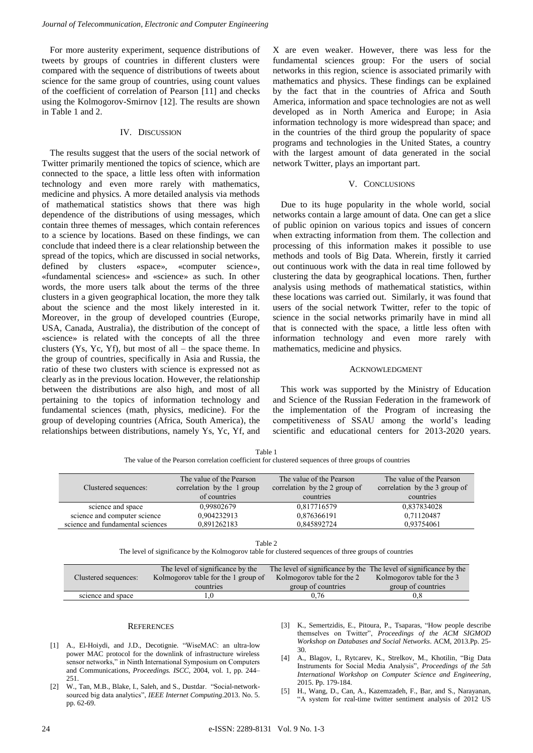For more austerity experiment, sequence distributions of tweets by groups of countries in different clusters were compared with the sequence of distributions of tweets about science for the same group of countries, using count values of the coefficient of correlation of Pearson [11] and checks using the Kolmogorov-Smirnov [12]. The results are shown in Table 1 and 2.

#### IV. DISCUSSION

The results suggest that the users of the social network of Twitter primarily mentioned the topics of science, which are connected to the space, a little less often with information technology and even more rarely with mathematics, medicine and physics. A more detailed analysis via methods of mathematical statistics shows that there was high dependence of the distributions of using messages, which contain three themes of messages, which contain references to a science by locations. Based on these findings, we can conclude that indeed there is a clear relationship between the spread of the topics, which are discussed in social networks, defined by clusters «space», «computer science», «fundamental sciences» and «science» as such. In other words, the more users talk about the terms of the three clusters in a given geographical location, the more they talk about the science and the most likely interested in it. Moreover, in the group of developed countries (Europe, USA, Canada, Australia), the distribution of the concept of «science» is related with the concepts of all the three clusters  $(Y_s, Y_c, Y_f)$ , but most of all – the space theme. In the group of countries, specifically in Asia and Russia, the ratio of these two clusters with science is expressed not as clearly as in the previous location. However, the relationship between the distributions are also high, and most of all pertaining to the topics of information technology and fundamental sciences (math, physics, medicine). For the group of developing countries (Africa, South America), the relationships between distributions, namely Ys, Yc, Yf, and

X are even weaker. However, there was less for the fundamental sciences group: For the users of social networks in this region, science is associated primarily with mathematics and physics. These findings can be explained by the fact that in the countries of Africa and South America, information and space technologies are not as well developed as in North America and Europe; in Asia information technology is more widespread than space; and in the countries of the third group the popularity of space programs and technologies in the United States, a country with the largest amount of data generated in the social network Twitter, plays an important part.

# V. CONCLUSIONS

Due to its huge popularity in the whole world, social networks contain a large amount of data. One can get a slice of public opinion on various topics and issues of concern when extracting information from them. The collection and processing of this information makes it possible to use methods and tools of Big Data. Wherein, firstly it carried out continuous work with the data in real time followed by clustering the data by geographical locations. Then, further analysis using methods of mathematical statistics, within these locations was carried out. Similarly, it was found that users of the social network Twitter, refer to the topic of science in the social networks primarily have in mind all that is connected with the space, a little less often with information technology and even more rarely with mathematics, medicine and physics.

#### ACKNOWLEDGMENT

This work was supported by the Ministry of Education and Science of the Russian Federation in the framework of the implementation of the Program of increasing the competitiveness of SSAU among the world's leading scientific and educational centers for 2013-2020 years.

The value of the Pearson correlation coefficient for clustered sequences of three groups of countries

| Clustered sequences:             | The value of the Pearson<br>correlation by the 1 group | The value of the Pearson<br>correlation by the 2 group of | The value of the Pearson<br>correlation by the 3 group of |
|----------------------------------|--------------------------------------------------------|-----------------------------------------------------------|-----------------------------------------------------------|
|                                  | of countries                                           | countries                                                 | countries                                                 |
| science and space                | 0,99802679                                             | 0,817716579                                               | 0,837834028                                               |
| science and computer science     | 0,904232913                                            | 0,876366191                                               | 0,71120487                                                |
| science and fundamental sciences | 0.891262183                                            | 0,845892724                                               | 0,93754061                                                |

Table 2

The level of significance by the Kolmogorov table for clustered sequences of three groups of countries

| Clustered sequences: | The level of significance by the    |                            | The level of significance by the The level of significance by the |
|----------------------|-------------------------------------|----------------------------|-------------------------------------------------------------------|
|                      | Kolmogorov table for the 1 group of | Kolmogorov table for the 2 | Kolmogorov table for the 3                                        |
|                      | countries                           | group of countries         | group of countries                                                |
| science and space    |                                     | 0.76                       | J.8                                                               |
|                      |                                     |                            |                                                                   |

#### **REFERENCES**

- [1] A., El-Hoivdi, and J.D., Decotignie. "WiseMAC: an ultra-low power MAC protocol for the downlink of infrastructure wireless sensor networks," in Ninth International Symposium on Computers and Communications, *Proceedings. ISCC*, 2004, vol. 1, pp. 244– 251.
- [2] W., Tan, M.B., Blake, I., Saleh, and S., Dustdar. "Social-networksourced big data analytics", *IEEE Internet Computing*.2013. No. 5. pp. 62-69.
- [3] K., Semertzidis, E., Pitoura, P., Tsaparas, "How people describe themselves on Twitter", *Proceedings of the ACM SIGMOD Workshop on Databases and Social Networks*. ACM, 2013.Pp. 25- 30.
- [4] A., Blagov, I., Rytcarev, K., Strelkov, M., Khotilin, "Big Data Instruments for Social Media Analysis", *Proceedings of the 5th International Workshop on Computer Science and Engineering*, 2015. Pp. 179-184.
- [5] H., Wang, D., Can, A., Kazemzadeh, F., Bar, and S., Narayanan, "A system for real-time twitter sentiment analysis of 2012 US